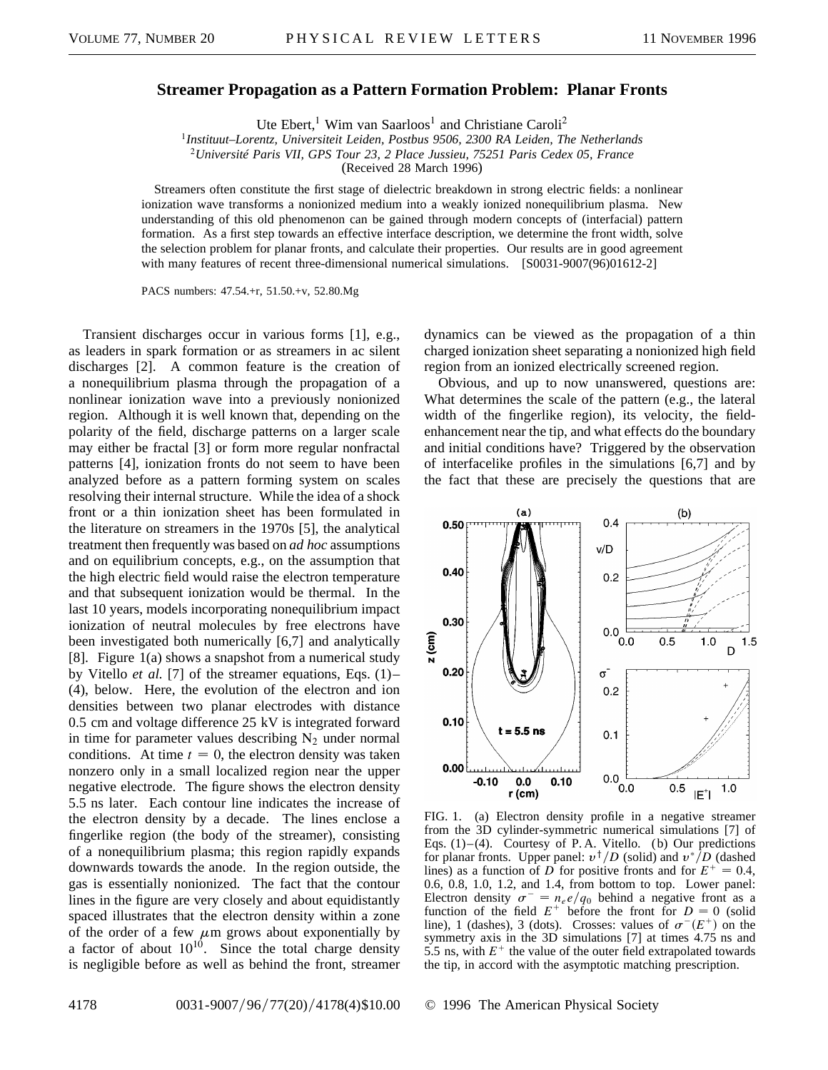## **Streamer Propagation as a Pattern Formation Problem: Planar Fronts**

Ute Ebert,<sup>1</sup> Wim van Saarloos<sup>1</sup> and Christiane Caroli<sup>2</sup>

<sup>1</sup>*Instituut–Lorentz, Universiteit Leiden, Postbus 9506, 2300 RA Leiden, The Netherlands*

<sup>2</sup>*Université Paris VII, GPS Tour 23, 2 Place Jussieu, 75251 Paris Cedex 05, France*

(Received 28 March 1996)

Streamers often constitute the first stage of dielectric breakdown in strong electric fields: a nonlinear ionization wave transforms a nonionized medium into a weakly ionized nonequilibrium plasma. New understanding of this old phenomenon can be gained through modern concepts of (interfacial) pattern formation. As a first step towards an effective interface description, we determine the front width, solve the selection problem for planar fronts, and calculate their properties. Our results are in good agreement with many features of recent three-dimensional numerical simulations. [S0031-9007(96)01612-2]

PACS numbers: 47.54.+r, 51.50.+v, 52.80.Mg

Transient discharges occur in various forms [1], e.g., as leaders in spark formation or as streamers in ac silent discharges [2]. A common feature is the creation of a nonequilibrium plasma through the propagation of a nonlinear ionization wave into a previously nonionized region. Although it is well known that, depending on the polarity of the field, discharge patterns on a larger scale may either be fractal [3] or form more regular nonfractal patterns [4], ionization fronts do not seem to have been analyzed before as a pattern forming system on scales resolving their internal structure. While the idea of a shock front or a thin ionization sheet has been formulated in the literature on streamers in the 1970s [5], the analytical treatment then frequently was based on *ad hoc* assumptions and on equilibrium concepts, e.g., on the assumption that the high electric field would raise the electron temperature and that subsequent ionization would be thermal. In the last 10 years, models incorporating nonequilibrium impact ionization of neutral molecules by free electrons have been investigated both numerically [6,7] and analytically [8]. Figure 1(a) shows a snapshot from a numerical study by Vitello *et al.* [7] of the streamer equations, Eqs. (1)– (4), below. Here, the evolution of the electron and ion densities between two planar electrodes with distance 0.5 cm and voltage difference 25 kV is integrated forward in time for parameter values describing  $N_2$  under normal conditions. At time  $t = 0$ , the electron density was taken nonzero only in a small localized region near the upper negative electrode. The figure shows the electron density 5.5 ns later. Each contour line indicates the increase of the electron density by a decade. The lines enclose a fingerlike region (the body of the streamer), consisting of a nonequilibrium plasma; this region rapidly expands downwards towards the anode. In the region outside, the gas is essentially nonionized. The fact that the contour lines in the figure are very closely and about equidistantly spaced illustrates that the electron density within a zone of the order of a few  $\mu$ m grows about exponentially by a factor of about  $10^{10}$ . Since the total charge density is negligible before as well as behind the front, streamer

dynamics can be viewed as the propagation of a thin charged ionization sheet separating a nonionized high field region from an ionized electrically screened region.

Obvious, and up to now unanswered, questions are: What determines the scale of the pattern (e.g., the lateral width of the fingerlike region), its velocity, the fieldenhancement near the tip, and what effects do the boundary and initial conditions have? Triggered by the observation of interfacelike profiles in the simulations [6,7] and by the fact that these are precisely the questions that are



FIG. 1. (a) Electron density profile in a negative streamer from the 3D cylinder-symmetric numerical simulations [7] of Eqs.  $(1)$  – $(4)$ . Courtesy of P.A. Vitello. (b) Our predictions for planar fronts. Upper panel:  $v^{\dagger}/D$  (solid) and  $v^{\dagger}/D$  (dashed lines) as a function of *D* for positive fronts and for  $E^+ = 0.4$ , 0.6, 0.8, 1.0, 1.2, and 1.4, from bottom to top. Lower panel: Electron density  $\sigma^- = n_e e/q_0$  behind a negative front as a function of the field  $E^+$  before the front for  $D = 0$  (solid line), 1 (dashes), 3 (dots). Crosses: values of  $\sigma^{-}(E^{+})$  on the symmetry axis in the 3D simulations [7] at times 4.75 ns and 5.5 ns, with  $E^+$  the value of the outer field extrapolated towards the tip, in accord with the asymptotic matching prescription.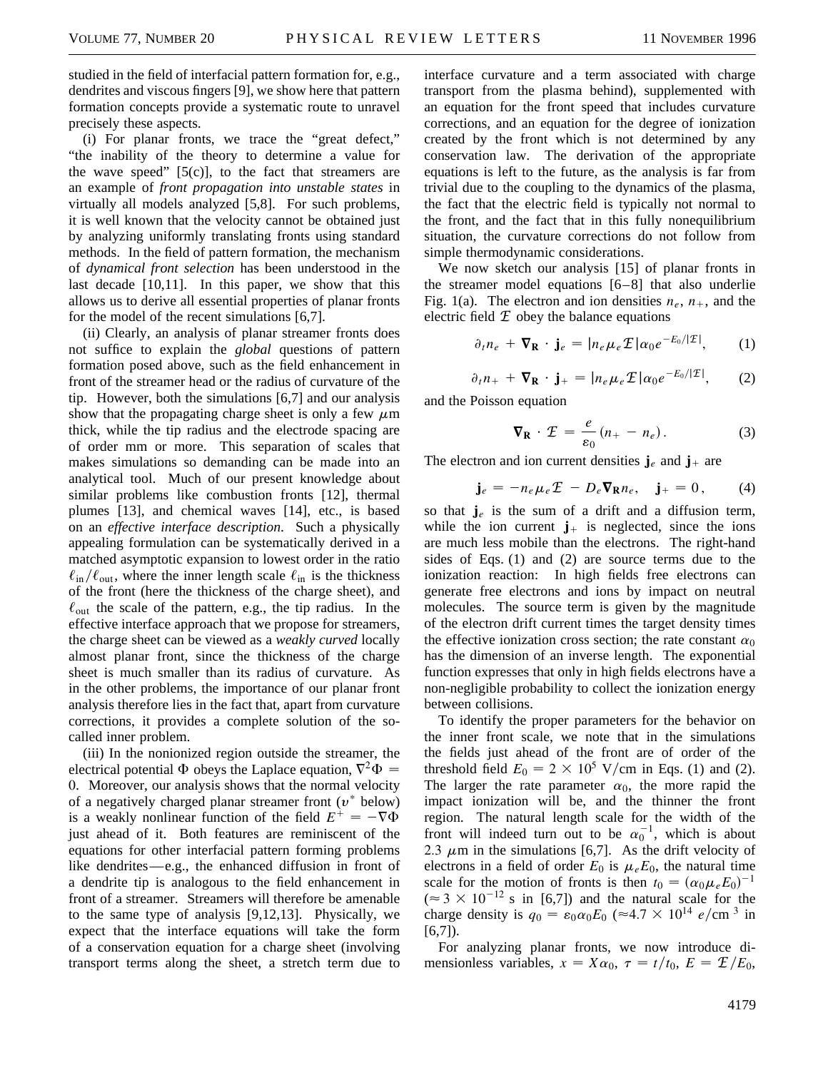studied in the field of interfacial pattern formation for, e.g., dendrites and viscous fingers [9], we show here that pattern formation concepts provide a systematic route to unravel precisely these aspects.

(i) For planar fronts, we trace the "great defect," "the inability of the theory to determine a value for the wave speed"  $[5(c)]$ , to the fact that streamers are an example of *front propagation into unstable states* in virtually all models analyzed [5,8]. For such problems, it is well known that the velocity cannot be obtained just by analyzing uniformly translating fronts using standard methods. In the field of pattern formation, the mechanism of *dynamical front selection* has been understood in the last decade [10,11]. In this paper, we show that this allows us to derive all essential properties of planar fronts for the model of the recent simulations [6,7].

(ii) Clearly, an analysis of planar streamer fronts does not suffice to explain the *global* questions of pattern formation posed above, such as the field enhancement in front of the streamer head or the radius of curvature of the tip. However, both the simulations [6,7] and our analysis show that the propagating charge sheet is only a few  $\mu$ m thick, while the tip radius and the electrode spacing are of order mm or more. This separation of scales that makes simulations so demanding can be made into an analytical tool. Much of our present knowledge about similar problems like combustion fronts [12], thermal plumes [13], and chemical waves [14], etc., is based on an *effective interface description*. Such a physically appealing formulation can be systematically derived in a matched asymptotic expansion to lowest order in the ratio  $\ell_{\rm in}/\ell_{\rm out}$ , where the inner length scale  $\ell_{\rm in}$  is the thickness of the front (here the thickness of the charge sheet), and  $\ell_{\text{out}}$  the scale of the pattern, e.g., the tip radius. In the effective interface approach that we propose for streamers, the charge sheet can be viewed as a *weakly curved* locally almost planar front, since the thickness of the charge sheet is much smaller than its radius of curvature. As in the other problems, the importance of our planar front analysis therefore lies in the fact that, apart from curvature corrections, it provides a complete solution of the socalled inner problem.

(iii) In the nonionized region outside the streamer, the electrical potential  $\Phi$  obeys the Laplace equation,  $\nabla^2 \Phi =$ 0. Moreover, our analysis shows that the normal velocity of a negatively charged planar streamer front  $(v^*$  below) is a weakly nonlinear function of the field  $E^+ = -\nabla \Phi$ just ahead of it. Both features are reminiscent of the equations for other interfacial pattern forming problems like dendrites—e.g., the enhanced diffusion in front of a dendrite tip is analogous to the field enhancement in front of a streamer. Streamers will therefore be amenable to the same type of analysis [9,12,13]. Physically, we expect that the interface equations will take the form of a conservation equation for a charge sheet (involving transport terms along the sheet, a stretch term due to

interface curvature and a term associated with charge transport from the plasma behind), supplemented with an equation for the front speed that includes curvature corrections, and an equation for the degree of ionization created by the front which is not determined by any conservation law. The derivation of the appropriate equations is left to the future, as the analysis is far from trivial due to the coupling to the dynamics of the plasma, the fact that the electric field is typically not normal to the front, and the fact that in this fully nonequilibrium situation, the curvature corrections do not follow from simple thermodynamic considerations.

We now sketch our analysis [15] of planar fronts in the streamer model equations [6–8] that also underlie Fig. 1(a). The electron and ion densities  $n_e$ ,  $n_{+}$ , and the electric field  $E$  obey the balance equations

$$
\partial_t n_e + \nabla_{\mathbf{R}} \cdot \mathbf{j}_e = |n_e \mu_e \mathcal{I}| \alpha_0 e^{-E_0/|\mathcal{I}|}, \qquad (1)
$$

$$
\partial_t n_+ + \nabla_{\mathbf{R}} \cdot \mathbf{j}_+ = |n_e \mu_e \mathcal{L}| \alpha_0 e^{-E_0/|\mathcal{L}|}, \qquad (2)
$$

and the Poisson equation

$$
\nabla_{\mathbf{R}} \cdot \mathcal{I} = \frac{e}{\varepsilon_0} (n_+ - n_e). \tag{3}
$$

The electron and ion current densities  $\mathbf{j}_e$  and  $\mathbf{j}_+$  are

$$
\mathbf{j}_e = -n_e \mu_e \mathcal{I} - D_e \nabla_{\mathbf{R}} n_e, \quad \mathbf{j}_+ = 0, \tag{4}
$$

so that  $\mathbf{j}_e$  is the sum of a drift and a diffusion term, while the ion current  $\mathbf{j}_{+}$  is neglected, since the ions are much less mobile than the electrons. The right-hand sides of Eqs. (1) and (2) are source terms due to the ionization reaction: In high fields free electrons can generate free electrons and ions by impact on neutral molecules. The source term is given by the magnitude of the electron drift current times the target density times the effective ionization cross section; the rate constant  $\alpha_0$ has the dimension of an inverse length. The exponential function expresses that only in high fields electrons have a non-negligible probability to collect the ionization energy between collisions.

To identify the proper parameters for the behavior on the inner front scale, we note that in the simulations the fields just ahead of the front are of order of the threshold field  $E_0 = 2 \times 10^5$  V/cm in Eqs. (1) and (2). The larger the rate parameter  $\alpha_0$ , the more rapid the impact ionization will be, and the thinner the front region. The natural length scale for the width of the front will indeed turn out to be  $\alpha_0^{-1}$ , which is about 2.3  $\mu$ m in the simulations [6,7]. As the drift velocity of electrons in a field of order  $E_0$  is  $\mu_e E_0$ , the natural time scale for the motion of fronts is then  $t_0 = (\alpha_0 \mu_e E_0)^{-1}$  $(\approx 3 \times 10^{-12} \text{ s in } [6,7])$  and the natural scale for the charge density is  $q_0 = \varepsilon_0 \alpha_0 E_0$  ( $\approx 4.7 \times 10^{14}$  *e*/cm<sup>3</sup> in  $[6,7]$ .

For analyzing planar fronts, we now introduce dimensionless variables,  $x = X\alpha_0$ ,  $\tau = t/t_0$ ,  $E = \mathcal{E}/E_0$ ,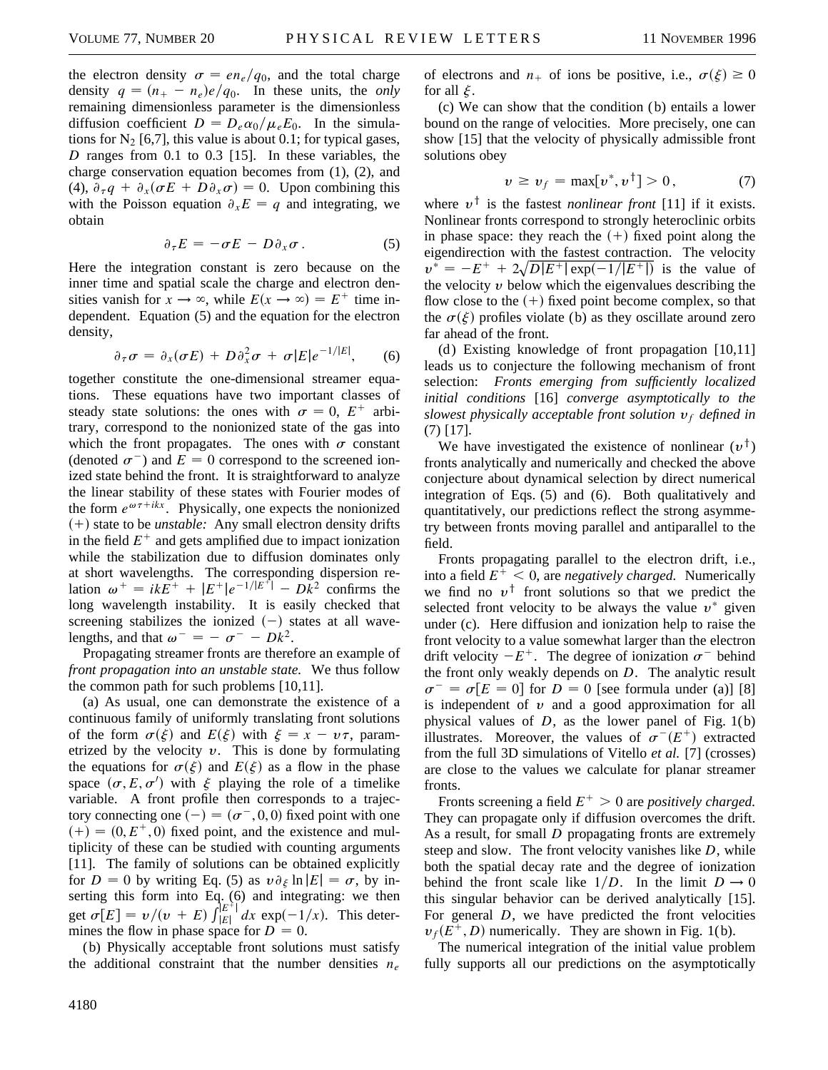the electron density  $\sigma = en_e/q_0$ , and the total charge density  $q = (n_{+} - n_{e})e/q_0$ . In these units, the *only* remaining dimensionless parameter is the dimensionless diffusion coefficient  $D = D_e \alpha_0 / \mu_e E_0$ . In the simulations for  $N_2$  [6,7], this value is about 0.1; for typical gases, *D* ranges from 0.1 to 0.3 [15]. In these variables, the charge conservation equation becomes from (1), (2), and (4),  $\partial_{\tau}q + \partial_{x}(\sigma E + D\partial_{x}\sigma) = 0$ . Upon combining this with the Poisson equation  $\partial_x E = q$  and integrating, we obtain

$$
\partial_{\tau} E = -\sigma E - D \partial_x \sigma . \qquad (5)
$$

Here the integration constant is zero because on the inner time and spatial scale the charge and electron densities vanish for  $x \to \infty$ , while  $E(x \to \infty) = E^+$  time independent. Equation (5) and the equation for the electron density,

$$
\partial_{\tau}\sigma = \partial_{x}(\sigma E) + D\partial_{x}^{2}\sigma + \sigma |E|e^{-1/|E|}, \qquad (6)
$$

together constitute the one-dimensional streamer equations. These equations have two important classes of steady state solutions: the ones with  $\sigma = 0$ ,  $E^+$  arbitrary, correspond to the nonionized state of the gas into which the front propagates. The ones with  $\sigma$  constant (denoted  $\sigma^-$ ) and  $E = 0$  correspond to the screened ionized state behind the front. It is straightforward to analyze the linear stability of these states with Fourier modes of the form  $e^{\omega \tau + i kx}$ . Physically, one expects the nonionized  $(+)$  state to be *unstable*: Any small electron density drifts in the field  $E^+$  and gets amplified due to impact ionization while the stabilization due to diffusion dominates only at short wavelengths. The corresponding dispersion relation  $\omega^+ = ikE^+ + |E^+|e^{-1/|E^+|} - D\tilde{k}^2$  confirms the long wavelength instability. It is easily checked that screening stabilizes the ionized  $(-)$  states at all wavelengths, and that  $\omega^- = - \sigma^- - Dk^2$ .

Propagating streamer fronts are therefore an example of *front propagation into an unstable state.* We thus follow the common path for such problems [10,11].

(a) As usual, one can demonstrate the existence of a continuous family of uniformly translating front solutions of the form  $\sigma(\xi)$  and  $E(\xi)$  with  $\xi = x - \nu \tau$ , parametrized by the velocity  $v$ . This is done by formulating the equations for  $\sigma(\xi)$  and  $E(\xi)$  as a flow in the phase space  $(\sigma, E, \sigma')$  with  $\xi$  playing the role of a timelike variable. A front profile then corresponds to a trajectory connecting one  $(-) = (\sigma^-, 0, 0)$  fixed point with one  $(+) = (0, E^+, 0)$  fixed point, and the existence and multiplicity of these can be studied with counting arguments [11]. The family of solutions can be obtained explicitly for *D* = 0 by writing Eq. (5) as  $v \partial_{\xi} \ln |E| = \sigma$ , by inserting this form into Eq. (6) and integrating: we then get  $\sigma[E] = v/(v + E) \int_{|E|}^{|E|+1} dx \exp(-1/x)$ . This determines the flow in phase space for  $D = 0$ .

(b) Physically acceptable front solutions must satisfy the additional constraint that the number densities  $n_e$ 

of electrons and  $n_+$  of ions be positive, i.e.,  $\sigma(\xi) \ge 0$ for all  $\xi$ .

(c) We can show that the condition ( b) entails a lower bound on the range of velocities. More precisely, one can show [15] that the velocity of physically admissible front solutions obey

$$
v \ge v_f = \max[v^*, v^{\dagger}] > 0, \tag{7}
$$

where  $v^{\dagger}$  is the fastest *nonlinear front* [11] if it exists. Nonlinear fronts correspond to strongly heteroclinic orbits in phase space: they reach the  $(+)$  fixed point along the eigendirection with the fastest contraction. The velocity  $v^* = -E^+ + 2\sqrt{D|E^+|} \exp(-1/|E^+|)$  is the value of the velocity  $\nu$  below which the eigenvalues describing the flow close to the  $(+)$  fixed point become complex, so that the  $\sigma(\xi)$  profiles violate (b) as they oscillate around zero far ahead of the front.

(d) Existing knowledge of front propagation  $[10,11]$ leads us to conjecture the following mechanism of front selection: *Fronts emerging from sufficiently localized initial conditions* [16] *converge asymptotically to the slowest physically acceptable front solution* y*<sup>f</sup> defined in* (7) [17].

We have investigated the existence of nonlinear  $(v^{\dagger})$ fronts analytically and numerically and checked the above conjecture about dynamical selection by direct numerical integration of Eqs. (5) and (6). Both qualitatively and quantitatively, our predictions reflect the strong asymmetry between fronts moving parallel and antiparallel to the field.

Fronts propagating parallel to the electron drift, i.e., into a field  $E^+ < 0$ , are *negatively charged.* Numerically we find no  $v^{\dagger}$  front solutions so that we predict the selected front velocity to be always the value  $v^*$  given under (c). Here diffusion and ionization help to raise the front velocity to a value somewhat larger than the electron drift velocity  $-E^+$ . The degree of ionization  $\sigma^-$  behind the front only weakly depends on *D*. The analytic result  $\sigma^- = \sigma[E = 0]$  for  $D = 0$  [see formula under (a)] [8] is independent of  $\nu$  and a good approximation for all physical values of  $D$ , as the lower panel of Fig.  $1(b)$ illustrates. Moreover, the values of  $\sigma^{-}(E^{+})$  extracted from the full 3D simulations of Vitello *et al.* [7] (crosses) are close to the values we calculate for planar streamer fronts.

Fronts screening a field  $E^+ > 0$  are *positively charged.* They can propagate only if diffusion overcomes the drift. As a result, for small *D* propagating fronts are extremely steep and slow. The front velocity vanishes like *D*, while both the spatial decay rate and the degree of ionization behind the front scale like  $1/D$ . In the limit  $D \rightarrow 0$ this singular behavior can be derived analytically [15]. For general *D*, we have predicted the front velocities  $v_f(E^+, D)$  numerically. They are shown in Fig. 1(b).

The numerical integration of the initial value problem fully supports all our predictions on the asymptotically